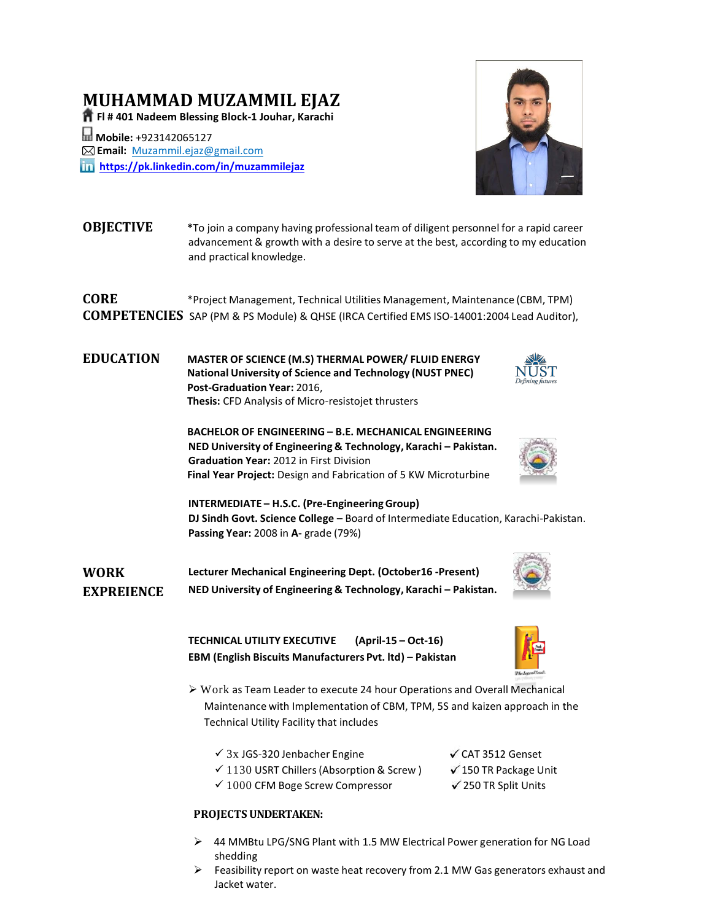# **MUHAMMAD MUZAMMIL EJAZ**

**Fl # 401 Nadeem Blessing Block-1 Jouhar, Karachi**

**Mobile:** +923142065127 **Email:** [Muzammil.ejaz@gmail.com](mailto:Muzammil.ejaz@gmail.com) **<https://pk.linkedin.com/in/muzammilejaz>**



- **OBJECTIVE \***To join a company having professional team of diligent personnel for a rapid career advancement & growth with a desire to serve at the best, according to my education and practical knowledge. **CORE** \*Project Management, Technical Utilities Management, Maintenance (CBM, TPM) **COMPETENCIES** SAP (PM & PS Module) & QHSE (IRCA Certified EMS ISO-14001:2004 Lead Auditor),
- **EDUCATION MASTER OF SCIENCE (M.S) THERMAL POWER/ FLUID ENERGY National University of Science and Technology (NUST PNEC) Post-Graduation Year:** 2016, **Thesis:** CFD Analysis of Micro-resistojet thrusters
	- **BACHELOR OF ENGINEERING – B.E. MECHANICAL ENGINEERING NED University of Engineering & Technology, Karachi – Pakistan. Graduation Year:** 2012 in First Division **Final Year Project:** Design and Fabrication of 5 KW Microturbine



**INTERMEDIATE – H.S.C. (Pre-EngineeringGroup) DJ Sindh Govt. Science College** – Board of Intermediate Education, Karachi-Pakistan. **Passing Year:** 2008 in **A-** grade (79%)

**WORK EXPREIENCE Lecturer Mechanical Engineering Dept. (October16 -Present) NED University of Engineering & Technology, Karachi – Pakistan.**

> **TECHNICAL UTILITY EXECUTIVE (April-15 – Oct-16) EBM (English Biscuits Manufacturers Pvt. ltd) – Pakistan**



- Work as Team Leader to execute 24 hour Operations and Overall Mechanical Maintenance with Implementation of CBM, TPM, 5S and kaizen approach in the Technical Utility Facility that includes
	- $\checkmark$  3x JGS-320 Jenbacher Engine  $\checkmark$  CAT 3512 Genset
		-
	- $\checkmark$  1130 USRT Chillers (Absorption & Screw )  $\checkmark$  150 TR Package Unit
		-
	- $\checkmark$  1000 CFM Boge Screw Compressor  $\checkmark$  250 TR Split Units

#### **PROJECTS UNDERTAKEN:**

- 44 MMBtu LPG/SNG Plant with 1.5 MW Electrical Power generation for NG Load shedding
- $\triangleright$  Feasibility report on waste heat recovery from 2.1 MW Gas generators exhaust and Jacket water.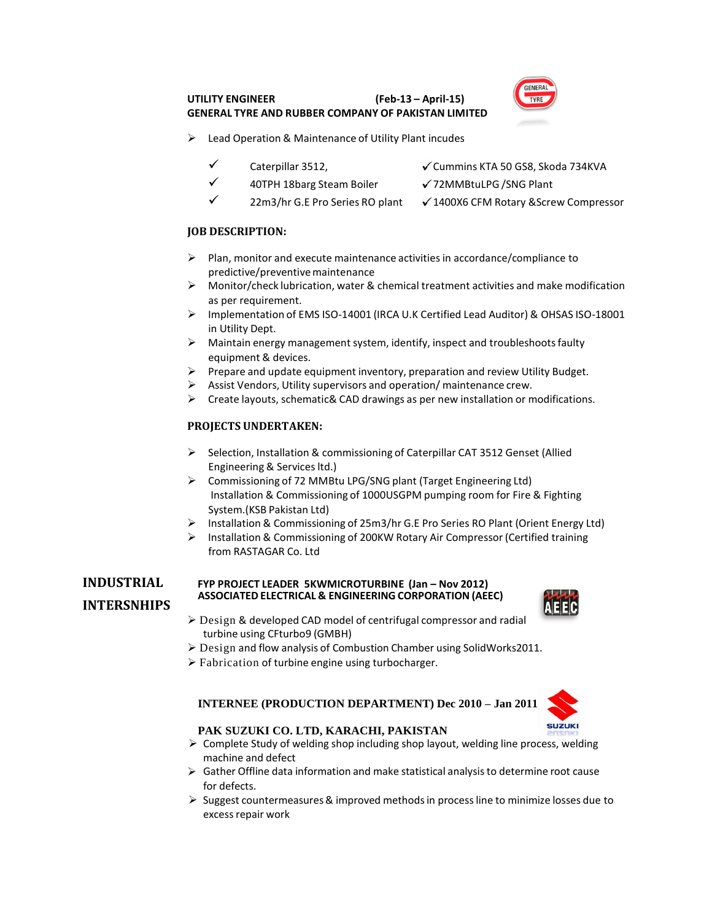#### **UTILITY ENGINEER (Feb-13 – April-15) GENERAL TYRE AND RUBBER COMPANY OF PAKISTAN LIMITED**



- Lead Operation & Maintenance of Utility Plant incudes
	-
	- Caterpillar 3512, Cummins KTA 50 GS8, Skoda 734KVA
	- 40TPH 18barg Steam Boiler  $√$  72MMBtuLPG /SNG Plant
		- 22m3/hr G.E Pro Series RO plant √ 1400X6 CFM Rotary &Screw Compressor

#### **JOB DESCRIPTION:**

- $\triangleright$  Plan, monitor and execute maintenance activities in accordance/compliance to predictive/preventive maintenance
- $\triangleright$  Monitor/check lubrication, water & chemical treatment activities and make modification as per requirement.
- Implementation of EMS ISO-14001 (IRCA U.K Certified Lead Auditor) & OHSAS ISO-18001 in Utility Dept.
- $\triangleright$  Maintain energy management system, identify, inspect and troubleshoots faulty equipment & devices.
- $\triangleright$  Prepare and update equipment inventory, preparation and review Utility Budget.
- Assist Vendors, Utility supervisors and operation/ maintenance crew.
- $\triangleright$  Create layouts, schematic& CAD drawings as per new installation or modifications.

#### **PROJECTS UNDERTAKEN:**

- $\triangleright$  Selection, Installation & commissioning of Caterpillar CAT 3512 Genset (Allied Engineering & Services ltd.)
- Commissioning of 72 MMBtu LPG/SNG plant (Target Engineering Ltd) Installation & Commissioning of 1000USGPM pumping room for Fire & Fighting System.(KSB Pakistan Ltd)
- Installation & Commissioning of 25m3/hr G.E Pro Series RO Plant (Orient Energy Ltd)
- Installation & Commissioning of 200KW Rotary Air Compressor (Certified training from RASTAGAR Co. Ltd

# **INTERSNHIPS**

#### **INDUSTRIAL FYP PROJECT LEADER 5KWMICROTURBINE (Jan – Nov 2012) ASSOCIATED ELECTRICAL & ENGINEERING CORPORATION (AEEC)**



- Design & developed CAD model of centrifugal compressor and radial turbine using CFturbo9 (GMBH)
- Design and flow analysis of Combustion Chamber using SolidWorks2011.
- $\triangleright$  Fabrication of turbine engine using turbocharger.

#### **INTERNEE (PRODUCTION DEPARTMENT) Dec 2010 – Jan 2011**



#### **PAK SUZUKI CO. LTD, KARACHI, PAKISTAN**

- $\triangleright$  Complete Study of welding shop including shop layout, welding line pro[cess, weldi](http://www.bing.com/images/search?q=pak+suzuki+logo&id=0D2C1C0D0A2B390FF9B564B7BFD91AA2062A82E3&FORM=IQFRBA)ng machine and defect
- $\triangleright$  Gather Offline data information and make statistical analysis to determine root cause for defects.
- $\triangleright$  Suggest countermeasures & improved methods in process line to minimize losses due to excess repair work